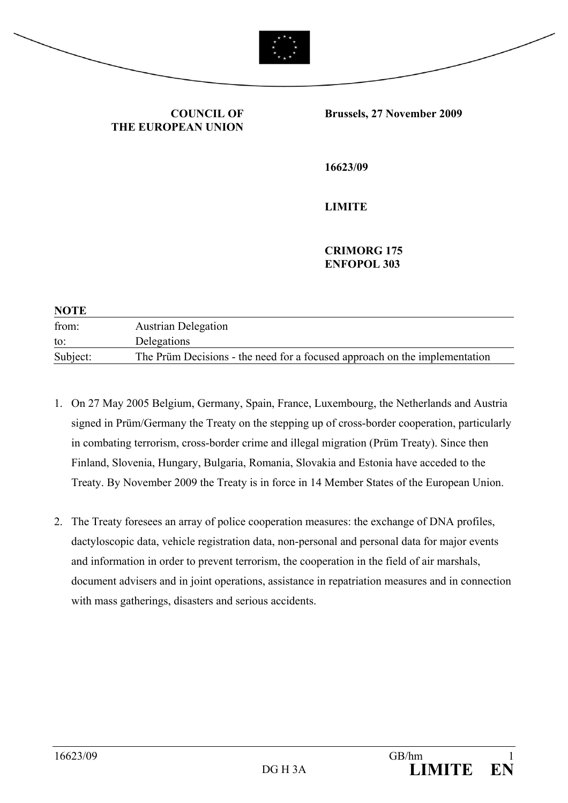

## **COUNCIL OF THE EUROPEAN UNION**

**Brussels, 27 November 2009** 

**16623/09** 

**LIMITE** 

 **CRIMORG 175 ENFOPOL 303** 

| <b>NOTE</b> |                                                                            |
|-------------|----------------------------------------------------------------------------|
| from:       | <b>Austrian Delegation</b>                                                 |
| to:         | Delegations                                                                |
| Subject:    | The Prüm Decisions - the need for a focused approach on the implementation |

- 1. On 27 May 2005 Belgium, Germany, Spain, France, Luxembourg, the Netherlands and Austria signed in Prüm/Germany the Treaty on the stepping up of cross-border cooperation, particularly in combating terrorism, cross-border crime and illegal migration (Prüm Treaty). Since then Finland, Slovenia, Hungary, Bulgaria, Romania, Slovakia and Estonia have acceded to the Treaty. By November 2009 the Treaty is in force in 14 Member States of the European Union.
- 2. The Treaty foresees an array of police cooperation measures: the exchange of DNA profiles, dactyloscopic data, vehicle registration data, non-personal and personal data for major events and information in order to prevent terrorism, the cooperation in the field of air marshals, document advisers and in joint operations, assistance in repatriation measures and in connection with mass gatherings, disasters and serious accidents.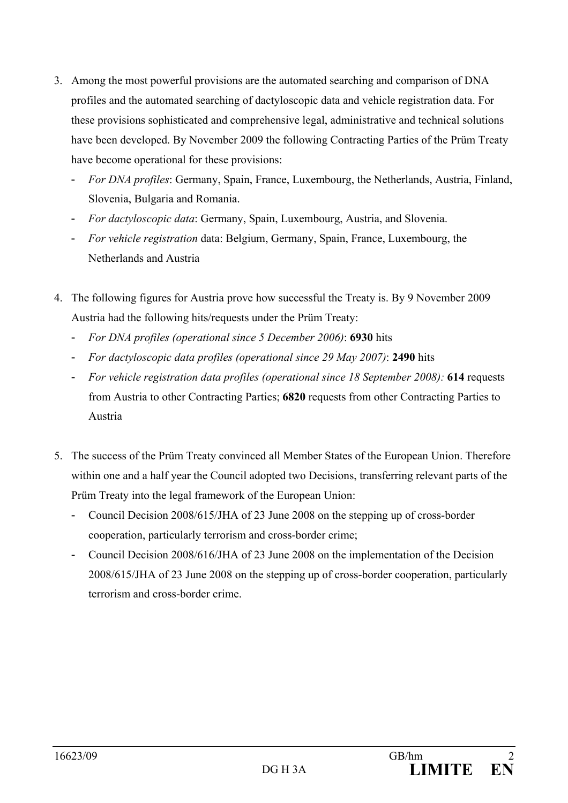- 3. Among the most powerful provisions are the automated searching and comparison of DNA profiles and the automated searching of dactyloscopic data and vehicle registration data. For these provisions sophisticated and comprehensive legal, administrative and technical solutions have been developed. By November 2009 the following Contracting Parties of the Prüm Treaty have become operational for these provisions:
	- *For DNA profiles*: Germany, Spain, France, Luxembourg, the Netherlands, Austria, Finland, Slovenia, Bulgaria and Romania.
	- *For dactyloscopic data*: Germany, Spain, Luxembourg, Austria, and Slovenia.
	- *For vehicle registration* data: Belgium, Germany, Spain, France, Luxembourg, the Netherlands and Austria
- 4. The following figures for Austria prove how successful the Treaty is. By 9 November 2009 Austria had the following hits/requests under the Prüm Treaty:
	- *For DNA profiles (operational since 5 December 2006)*: **6930** hits
	- *For dactyloscopic data profiles (operational since 29 May 2007)*: **2490** hits
	- *For vehicle registration data profiles (operational since 18 September 2008):* **614** requests from Austria to other Contracting Parties; **6820** requests from other Contracting Parties to Austria
- 5. The success of the Prüm Treaty convinced all Member States of the European Union. Therefore within one and a half year the Council adopted two Decisions, transferring relevant parts of the Prüm Treaty into the legal framework of the European Union:
	- Council Decision 2008/615/JHA of 23 June 2008 on the stepping up of cross-border cooperation, particularly terrorism and cross-border crime;
	- Council Decision 2008/616/JHA of 23 June 2008 on the implementation of the Decision 2008/615/JHA of 23 June 2008 on the stepping up of cross-border cooperation, particularly terrorism and cross-border crime.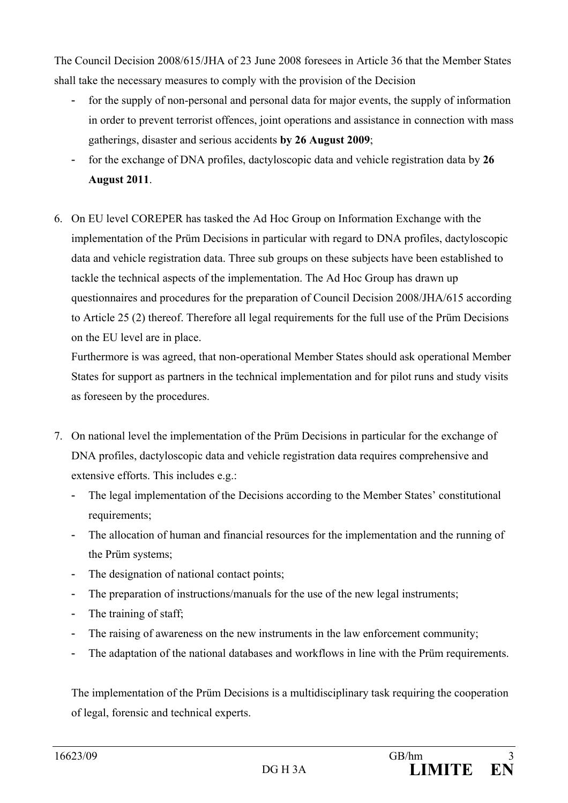The Council Decision 2008/615/JHA of 23 June 2008 foresees in Article 36 that the Member States shall take the necessary measures to comply with the provision of the Decision

- for the supply of non-personal and personal data for major events, the supply of information in order to prevent terrorist offences, joint operations and assistance in connection with mass gatherings, disaster and serious accidents **by 26 August 2009**;
- for the exchange of DNA profiles, dactyloscopic data and vehicle registration data by **26 August 2011**.
- 6. On EU level COREPER has tasked the Ad Hoc Group on Information Exchange with the implementation of the Prüm Decisions in particular with regard to DNA profiles, dactyloscopic data and vehicle registration data. Three sub groups on these subjects have been established to tackle the technical aspects of the implementation. The Ad Hoc Group has drawn up questionnaires and procedures for the preparation of Council Decision 2008/JHA/615 according to Article 25 (2) thereof. Therefore all legal requirements for the full use of the Prüm Decisions on the EU level are in place.

Furthermore is was agreed, that non-operational Member States should ask operational Member States for support as partners in the technical implementation and for pilot runs and study visits as foreseen by the procedures.

- 7. On national level the implementation of the Prüm Decisions in particular for the exchange of DNA profiles, dactyloscopic data and vehicle registration data requires comprehensive and extensive efforts. This includes e.g.:
	- The legal implementation of the Decisions according to the Member States' constitutional requirements;
	- The allocation of human and financial resources for the implementation and the running of the Prüm systems;
	- The designation of national contact points;
	- The preparation of instructions/manuals for the use of the new legal instruments;
	- The training of staff;
	- The raising of awareness on the new instruments in the law enforcement community;
	- The adaptation of the national databases and workflows in line with the Prüm requirements.

The implementation of the Prüm Decisions is a multidisciplinary task requiring the cooperation of legal, forensic and technical experts.